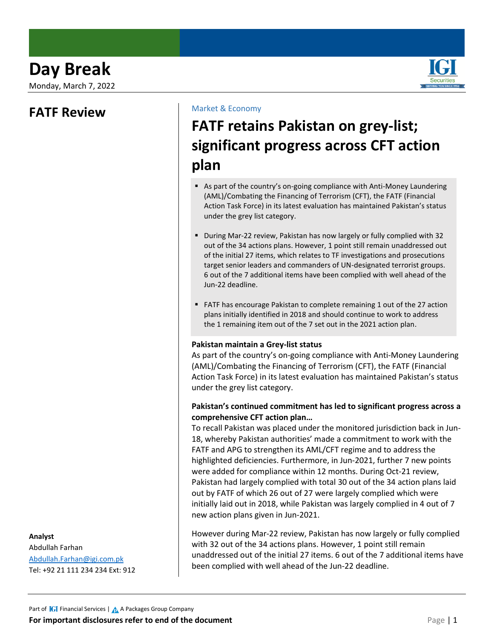Monday, March 7, 2022

### **FATF Review**

**Analyst**

Abdullah Farhan [Abdullah.Farhan@igi.com.pk](mailto:Abdullah.Farhan@igi.com.pk) Tel: +92 21 111 234 234 Ext: 912

### Market & Economy

# **FATF retains Pakistan on grey-list; significant progress across CFT action plan**

- As part of the country's on-going compliance with Anti-Money Laundering (AML)/Combating the Financing of Terrorism (CFT), the FATF (Financial Action Task Force) in its latest evaluation has maintained Pakistan's status under the grey list category.
- During Mar-22 review, Pakistan has now largely or fully complied with 32 out of the 34 actions plans. However, 1 point still remain unaddressed out of the initial 27 items, which relates to TF investigations and prosecutions target senior leaders and commanders of UN-designated terrorist groups. 6 out of the 7 additional items have been complied with well ahead of the Jun-22 deadline.
- FATF has encourage Pakistan to complete remaining 1 out of the 27 action plans initially identified in 2018 and should continue to work to address the 1 remaining item out of the 7 set out in the 2021 action plan.

#### **Pakistan maintain a Grey-list status**

As part of the country's on-going compliance with Anti-Money Laundering (AML)/Combating the Financing of Terrorism (CFT), the FATF (Financial Action Task Force) in its latest evaluation has maintained Pakistan's status under the grey list category.

#### **Pakistan's continued commitment has led to significant progress across a comprehensive CFT action plan…**

To recall Pakistan was placed under the monitored jurisdiction back in Jun-18, whereby Pakistan authorities' made a commitment to work with the FATF and APG to strengthen its AML/CFT regime and to address the highlighted deficiencies. Furthermore, in Jun-2021, further 7 new points were added for compliance within 12 months. During Oct-21 review, Pakistan had largely complied with total 30 out of the 34 action plans laid out by FATF of which 26 out of 27 were largely complied which were initially laid out in 2018, while Pakistan was largely complied in 4 out of 7 new action plans given in Jun-2021.

However during Mar-22 review, Pakistan has now largely or fully complied with 32 out of the 34 actions plans. However, 1 point still remain unaddressed out of the initial 27 items. 6 out of the 7 additional items have been complied with well ahead of the Jun-22 deadline.

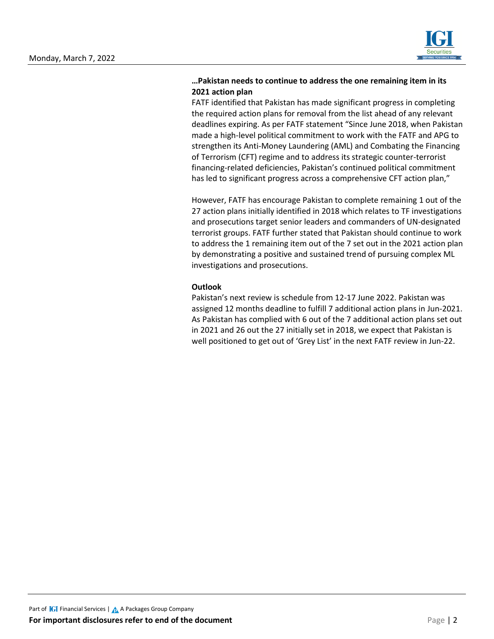

#### **…Pakistan needs to continue to address the one remaining item in its 2021 action plan**

FATF identified that Pakistan has made significant progress in completing the required action plans for removal from the list ahead of any relevant deadlines expiring. As per FATF statement "Since June 2018, when Pakistan made a high-level political commitment to work with the FATF and APG to strengthen its Anti-Money Laundering (AML) and Combating the Financing of Terrorism (CFT) regime and to address its strategic counter-terrorist financing-related deficiencies, Pakistan's continued political commitment has led to significant progress across a comprehensive CFT action plan,"

However, FATF has encourage Pakistan to complete remaining 1 out of the 27 action plans initially identified in 2018 which relates to TF investigations and prosecutions target senior leaders and commanders of UN-designated terrorist groups. FATF further stated that Pakistan should continue to work to address the 1 remaining item out of the 7 set out in the 2021 action plan by demonstrating a positive and sustained trend of pursuing complex ML investigations and prosecutions.

#### **Outlook**

Pakistan's next review is schedule from 12-17 June 2022. Pakistan was assigned 12 months deadline to fulfill 7 additional action plans in Jun-2021. As Pakistan has complied with 6 out of the 7 additional action plans set out in 2021 and 26 out the 27 initially set in 2018, we expect that Pakistan is well positioned to get out of 'Grey List' in the next FATF review in Jun-22.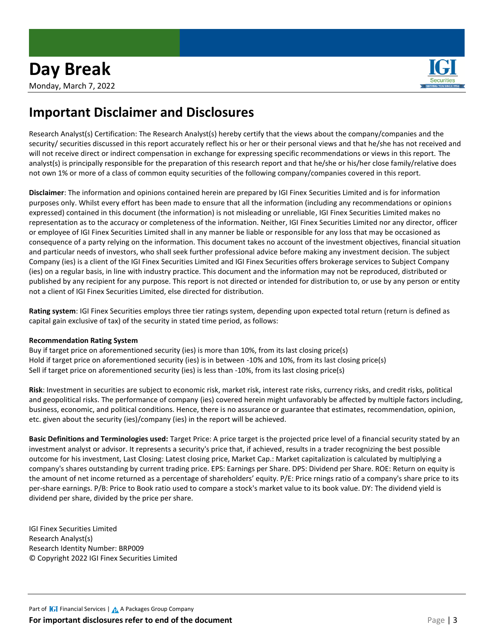

## **Important Disclaimer and Disclosures**

Research Analyst(s) Certification: The Research Analyst(s) hereby certify that the views about the company/companies and the security/ securities discussed in this report accurately reflect his or her or their personal views and that he/she has not received and will not receive direct or indirect compensation in exchange for expressing specific recommendations or views in this report. The analyst(s) is principally responsible for the preparation of this research report and that he/she or his/her close family/relative does not own 1% or more of a class of common equity securities of the following company/companies covered in this report.

**Disclaimer**: The information and opinions contained herein are prepared by IGI Finex Securities Limited and is for information purposes only. Whilst every effort has been made to ensure that all the information (including any recommendations or opinions expressed) contained in this document (the information) is not misleading or unreliable, IGI Finex Securities Limited makes no representation as to the accuracy or completeness of the information. Neither, IGI Finex Securities Limited nor any director, officer or employee of IGI Finex Securities Limited shall in any manner be liable or responsible for any loss that may be occasioned as consequence of a party relying on the information. This document takes no account of the investment objectives, financial situation and particular needs of investors, who shall seek further professional advice before making any investment decision. The subject Company (ies) is a client of the IGI Finex Securities Limited and IGI Finex Securities offers brokerage services to Subject Company (ies) on a regular basis, in line with industry practice. This document and the information may not be reproduced, distributed or published by any recipient for any purpose. This report is not directed or intended for distribution to, or use by any person or entity not a client of IGI Finex Securities Limited, else directed for distribution.

**Rating system**: IGI Finex Securities employs three tier ratings system, depending upon expected total return (return is defined as capital gain exclusive of tax) of the security in stated time period, as follows:

#### **Recommendation Rating System**

Buy if target price on aforementioned security (ies) is more than 10%, from its last closing price(s) Hold if target price on aforementioned security (ies) is in between -10% and 10%, from its last closing price(s) Sell if target price on aforementioned security (ies) is less than -10%, from its last closing price(s)

**Risk**: Investment in securities are subject to economic risk, market risk, interest rate risks, currency risks, and credit risks, political and geopolitical risks. The performance of company (ies) covered herein might unfavorably be affected by multiple factors including, business, economic, and political conditions. Hence, there is no assurance or guarantee that estimates, recommendation, opinion, etc. given about the security (ies)/company (ies) in the report will be achieved.

**Basic Definitions and Terminologies used:** Target Price: A price target is the projected price level of a financial security stated by an investment analyst or advisor. It represents a security's price that, if achieved, results in a trader recognizing the best possible outcome for his investment, Last Closing: Latest closing price, Market Cap.: Market capitalization is calculated by multiplying a company's shares outstanding by current trading price. EPS: Earnings per Share. DPS: Dividend per Share. ROE: Return on equity is the amount of net income returned as a percentage of shareholders' equity. P/E: Price rnings ratio of a company's share price to its per-share earnings. P/B: Price to Book ratio used to compare a stock's market value to its book value. DY: The dividend yield is dividend per share, divided by the price per share.

IGI Finex Securities Limited Research Analyst(s) Research Identity Number: BRP009 © Copyright 2022 IGI Finex Securities Limited